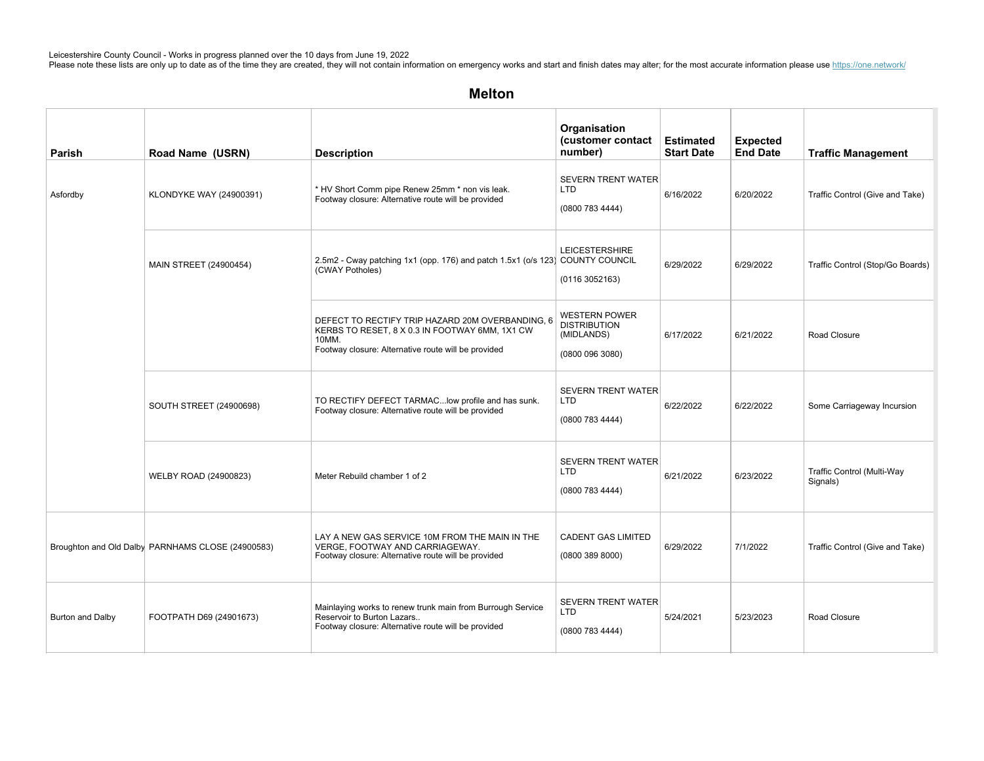## Melton

| <b>Parish</b>    | Road Name (USRN)                                  | <b>Description</b>                                                                                                                                                 | Organisation<br>(customer contact<br>number)                               | <b>Estimated</b><br><b>Start Date</b> | <b>Expected</b><br><b>End Date</b> | <b>Traffic Management</b>              |
|------------------|---------------------------------------------------|--------------------------------------------------------------------------------------------------------------------------------------------------------------------|----------------------------------------------------------------------------|---------------------------------------|------------------------------------|----------------------------------------|
| Asfordby         | <b>KLONDYKE WAY (24900391)</b>                    | * HV Short Comm pipe Renew 25mm * non vis leak.<br>Footway closure: Alternative route will be provided                                                             | <b>SEVERN TRENT WATER</b><br><b>LTD</b><br>(0800 783 4444)                 | 6/16/2022                             | 6/20/2022                          | Traffic Control (Give and Take)        |
|                  | MAIN STREET (24900454)                            | 2.5m2 - Cway patching 1x1 (opp. 176) and patch 1.5x1 (o/s 123) COUNTY COUNCIL<br>(CWAY Potholes)                                                                   | <b>LEICESTERSHIRE</b><br>(01163052163)                                     | 6/29/2022                             | 6/29/2022                          | Traffic Control (Stop/Go Boards)       |
|                  |                                                   | DEFECT TO RECTIFY TRIP HAZARD 20M OVERBANDING, 6<br>KERBS TO RESET, 8 X 0.3 IN FOOTWAY 6MM, 1X1 CW<br>10MM.<br>Footway closure: Alternative route will be provided | <b>WESTERN POWER</b><br><b>DISTRIBUTION</b><br>(MIDLANDS)<br>(08000963080) | 6/17/2022                             | 6/21/2022                          | Road Closure                           |
|                  | <b>SOUTH STREET (24900698)</b>                    | TO RECTIFY DEFECT TARMAC low profile and has sunk.<br>Footway closure: Alternative route will be provided                                                          | <b>SEVERN TRENT WATER</b><br><b>LTD</b><br>(0800 783 4444)                 | 6/22/2022                             | 6/22/2022                          | Some Carriageway Incursion             |
|                  | WELBY ROAD (24900823)                             | Meter Rebuild chamber 1 of 2                                                                                                                                       | <b>SEVERN TRENT WATER</b><br><b>LTD</b><br>(0800 783 4444)                 | 6/21/2022                             | 6/23/2022                          | Traffic Control (Multi-Way<br>Signals) |
|                  | Broughton and Old Dalby PARNHAMS CLOSE (24900583) | LAY A NEW GAS SERVICE 10M FROM THE MAIN IN THE<br>VERGE, FOOTWAY AND CARRIAGEWAY.<br>Footway closure: Alternative route will be provided                           | <b>CADENT GAS LIMITED</b><br>(08003898000)                                 | 6/29/2022                             | 7/1/2022                           | Traffic Control (Give and Take)        |
| Burton and Dalby | FOOTPATH D69 (24901673)                           | Mainlaying works to renew trunk main from Burrough Service<br>Reservoir to Burton Lazars<br>Footway closure: Alternative route will be provided                    | <b>SEVERN TRENT WATER</b><br><b>LTD</b><br>(0800 783 4444)                 | 5/24/2021                             | 5/23/2023                          | Road Closure                           |

 $S_{\rm T}$ nearsi $C_{\rm T}$ nearsi $C_{\rm T}$ nearsi $C_{\rm T}$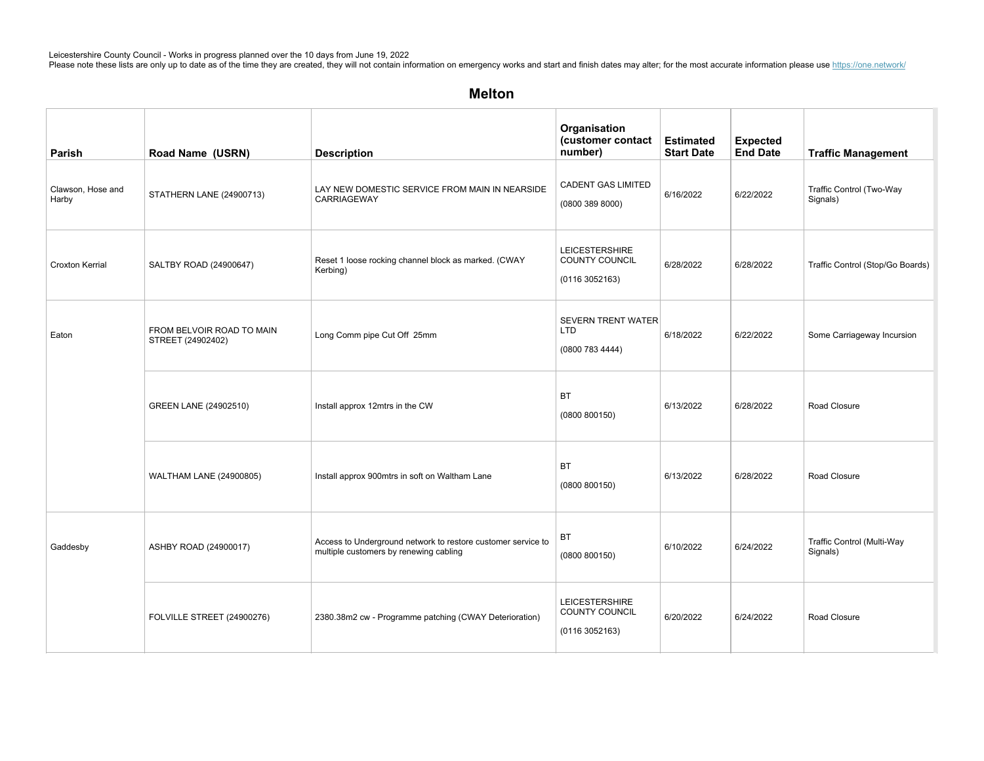| Parish                     | Road Name (USRN)                               | <b>Description</b>                                                                                     | Organisation<br>(customer contact<br>number)               | <b>Estimated</b><br><b>Start Date</b> | <b>Expected</b><br><b>End Date</b> | <b>Traffic Management</b>              |
|----------------------------|------------------------------------------------|--------------------------------------------------------------------------------------------------------|------------------------------------------------------------|---------------------------------------|------------------------------------|----------------------------------------|
| Clawson, Hose and<br>Harby | STATHERN LANE (24900713)                       | LAY NEW DOMESTIC SERVICE FROM MAIN IN NEARSIDE<br>CARRIAGEWAY                                          | <b>CADENT GAS LIMITED</b><br>(08003898000)                 | 6/16/2022                             | 6/22/2022                          | Traffic Control (Two-Way<br>Signals)   |
| <b>Croxton Kerrial</b>     | SALTBY ROAD (24900647)                         | Reset 1 loose rocking channel block as marked. (CWAY<br>Kerbing)                                       | <b>LEICESTERSHIRE</b><br>COUNTY COUNCIL<br>(01163052163)   | 6/28/2022                             | 6/28/2022                          | Traffic Control (Stop/Go Boards)       |
| Eaton                      | FROM BELVOIR ROAD TO MAIN<br>STREET (24902402) | Long Comm pipe Cut Off 25mm                                                                            | <b>SEVERN TRENT WATER</b><br><b>LTD</b><br>(0800 783 4444) | 6/18/2022                             | 6/22/2022                          | Some Carriageway Incursion             |
|                            | GREEN LANE (24902510)                          | Install approx 12mtrs in the CW                                                                        | BT<br>(0800 800150)                                        | 6/13/2022                             | 6/28/2022                          | Road Closure                           |
|                            | WALTHAM LANE (24900805)                        | Install approx 900mtrs in soft on Waltham Lane                                                         | <b>BT</b><br>(0800 800150)                                 | 6/13/2022                             | 6/28/2022                          | Road Closure                           |
| Gaddesby                   | ASHBY ROAD (24900017)                          | Access to Underground network to restore customer service to<br>multiple customers by renewing cabling | BT<br>(0800 800150)                                        | 6/10/2022                             | 6/24/2022                          | Traffic Control (Multi-Way<br>Signals) |
|                            | FOLVILLE STREET (24900276)                     | 2380.38m2 cw - Programme patching (CWAY Deterioration)                                                 | <b>LEICESTERSHIRE</b><br>COUNTY COUNCIL<br>(0116 3052163)  | 6/20/2022                             | 6/24/2022                          | Road Closure                           |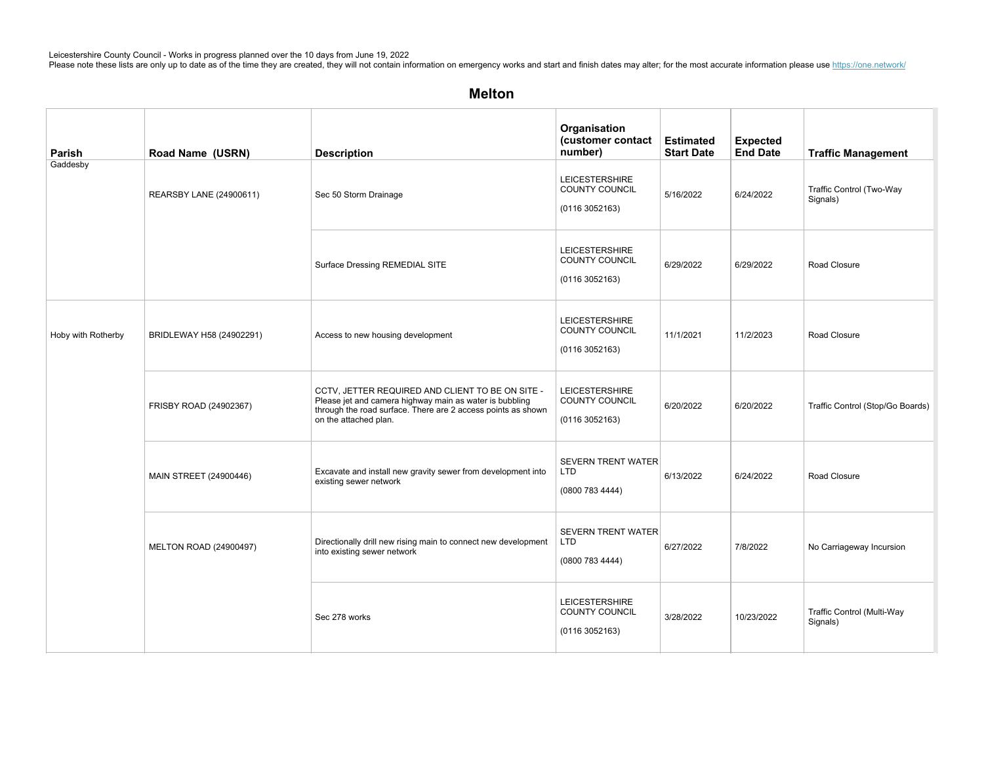| Parish             | Road Name (USRN)         | <b>Description</b>                                                                                                                                                                                   | Organisation<br>(customer contact<br>number)                    | <b>Estimated</b><br><b>Start Date</b> | <b>Expected</b><br><b>End Date</b> | <b>Traffic Management</b>              |
|--------------------|--------------------------|------------------------------------------------------------------------------------------------------------------------------------------------------------------------------------------------------|-----------------------------------------------------------------|---------------------------------------|------------------------------------|----------------------------------------|
| Gaddesby           | REARSBY LANE (24900611)  | Sec 50 Storm Drainage                                                                                                                                                                                | <b>LEICESTERSHIRE</b><br><b>COUNTY COUNCIL</b><br>(01163052163) | 5/16/2022                             | 6/24/2022                          | Traffic Control (Two-Way<br>Signals)   |
|                    |                          | Surface Dressing REMEDIAL SITE                                                                                                                                                                       | <b>LEICESTERSHIRE</b><br>COUNTY COUNCIL<br>(01163052163)        | 6/29/2022                             | 6/29/2022                          | Road Closure                           |
| Hoby with Rotherby | BRIDLEWAY H58 (24902291) | Access to new housing development                                                                                                                                                                    | <b>LEICESTERSHIRE</b><br>COUNTY COUNCIL<br>(01163052163)        | 11/1/2021                             | 11/2/2023                          | Road Closure                           |
|                    | FRISBY ROAD (24902367)   | CCTV, JETTER REQUIRED AND CLIENT TO BE ON SITE -<br>Please jet and camera highway main as water is bubbling<br>through the road surface. There are 2 access points as shown<br>on the attached plan. | <b>LEICESTERSHIRE</b><br>COUNTY COUNCIL<br>(01163052163)        | 6/20/2022                             | 6/20/2022                          | Traffic Control (Stop/Go Boards)       |
|                    | MAIN STREET (24900446)   | Excavate and install new gravity sewer from development into<br>existing sewer network                                                                                                               | <b>SEVERN TRENT WATER</b><br><b>LTD</b><br>(0800 783 4444)      | 6/13/2022                             | 6/24/2022                          | Road Closure                           |
|                    | MELTON ROAD (24900497)   | Directionally drill new rising main to connect new development<br>into existing sewer network                                                                                                        | <b>SEVERN TRENT WATER</b><br><b>LTD</b><br>(0800 783 4444)      | 6/27/2022                             | 7/8/2022                           | No Carriageway Incursion               |
|                    |                          | Sec 278 works                                                                                                                                                                                        | <b>LEICESTERSHIRE</b><br>COUNTY COUNCIL<br>(01163052163)        | 3/28/2022                             | 10/23/2022                         | Traffic Control (Multi-Way<br>Signals) |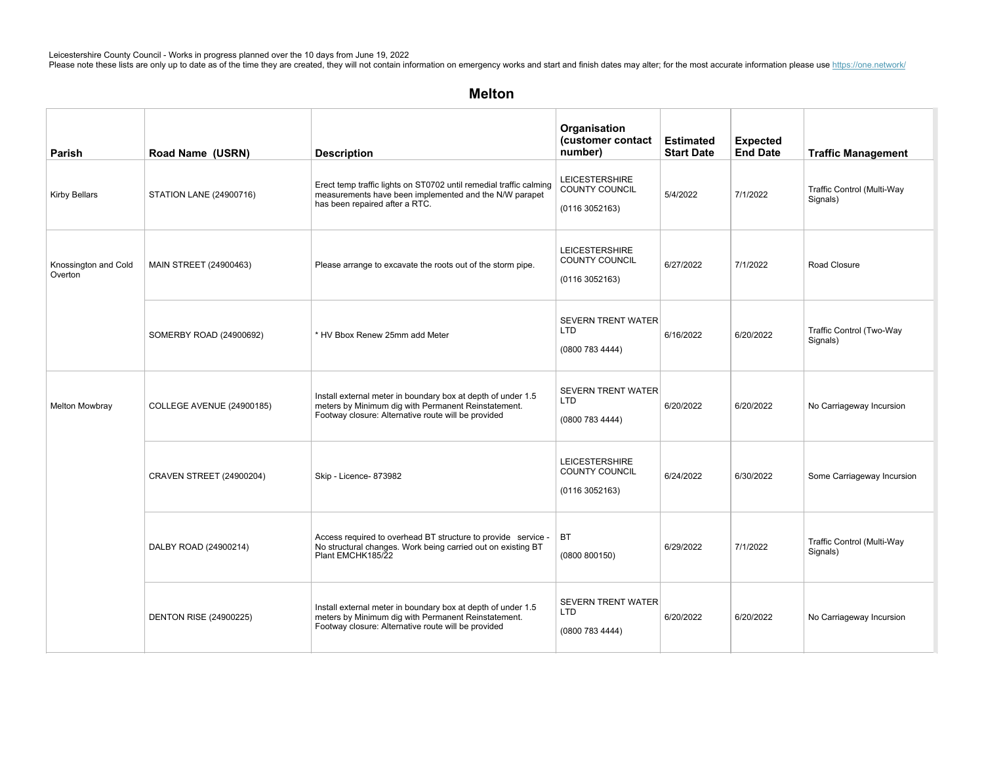| Parish                          | Road Name (USRN)                | <b>Description</b>                                                                                                                                                         | Organisation<br>(customer contact<br>number)                     | <b>Estimated</b><br><b>Start Date</b> | <b>Expected</b><br><b>End Date</b> | <b>Traffic Management</b>              |
|---------------------------------|---------------------------------|----------------------------------------------------------------------------------------------------------------------------------------------------------------------------|------------------------------------------------------------------|---------------------------------------|------------------------------------|----------------------------------------|
| <b>Kirby Bellars</b>            | <b>STATION LANE (24900716)</b>  | Erect temp traffic lights on ST0702 until remedial traffic calming<br>measurements have been implemented and the N/W parapet<br>has been repaired after a RTC.             | <b>LEICESTERSHIRE</b><br><b>COUNTY COUNCIL</b><br>(0116 3052163) | 5/4/2022                              | 7/1/2022                           | Traffic Control (Multi-Way<br>Signals) |
| Knossington and Cold<br>Overton | MAIN STREET (24900463)          | Please arrange to excavate the roots out of the storm pipe.                                                                                                                | <b>LEICESTERSHIRE</b><br><b>COUNTY COUNCIL</b><br>(01163052163)  | 6/27/2022                             | 7/1/2022                           | Road Closure                           |
|                                 | SOMERBY ROAD (24900692)         | * HV Bbox Renew 25mm add Meter                                                                                                                                             | <b>SEVERN TRENT WATER</b><br>LTD<br>(0800 783 4444)              | 6/16/2022                             | 6/20/2022                          | Traffic Control (Two-Way<br>Signals)   |
| <b>Melton Mowbray</b>           | COLLEGE AVENUE (24900185)       | Install external meter in boundary box at depth of under 1.5<br>meters by Minimum dig with Permanent Reinstatement.<br>Footway closure: Alternative route will be provided | <b>SEVERN TRENT WATER</b><br><b>LTD</b><br>(0800 783 4444)       | 6/20/2022                             | 6/20/2022                          | No Carriageway Incursion               |
|                                 | <b>CRAVEN STREET (24900204)</b> | Skip - Licence- 873982                                                                                                                                                     | <b>LEICESTERSHIRE</b><br>COUNTY COUNCIL<br>(01163052163)         | 6/24/2022                             | 6/30/2022                          | Some Carriageway Incursion             |
|                                 | DALBY ROAD (24900214)           | Access required to overhead BT structure to provide service -<br>No structural changes. Work being carried out on existing BT<br>Plant EMCHK185/22                         | BT<br>(0800 800150)                                              | 6/29/2022                             | 7/1/2022                           | Traffic Control (Multi-Way<br>Signals) |
|                                 | <b>DENTON RISE (24900225)</b>   | Install external meter in boundary box at depth of under 1.5<br>meters by Minimum dig with Permanent Reinstatement.<br>Footway closure: Alternative route will be provided | <b>SEVERN TRENT WATER</b><br><b>LTD</b><br>(0800 783 4444)       | 6/20/2022                             | 6/20/2022                          | No Carriageway Incursion               |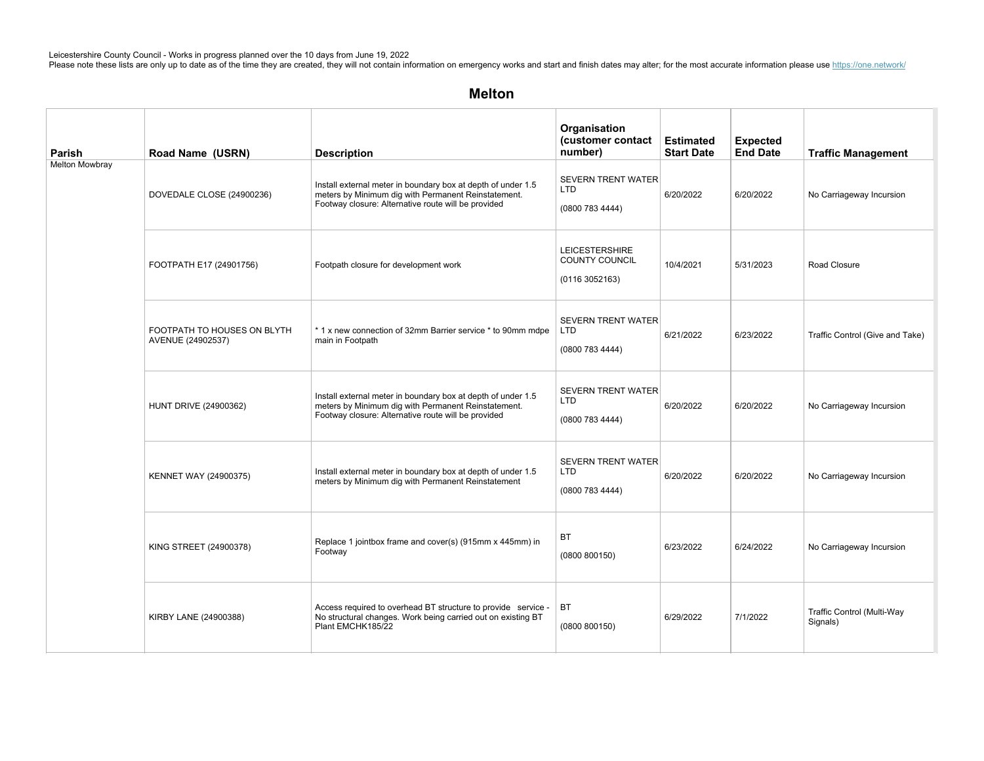| Parish                | Road Name (USRN)                                 | <b>Description</b>                                                                                                                                                         | Organisation<br>(customer contact<br>number)                    | <b>Estimated</b><br><b>Start Date</b> | <b>Expected</b><br><b>End Date</b> | <b>Traffic Management</b>              |
|-----------------------|--------------------------------------------------|----------------------------------------------------------------------------------------------------------------------------------------------------------------------------|-----------------------------------------------------------------|---------------------------------------|------------------------------------|----------------------------------------|
| <b>Melton Mowbray</b> | DOVEDALE CLOSE (24900236)                        | Install external meter in boundary box at depth of under 1.5<br>meters by Minimum dig with Permanent Reinstatement.<br>Footway closure: Alternative route will be provided | <b>SEVERN TRENT WATER</b><br><b>LTD</b><br>(0800 783 4444)      | 6/20/2022                             | 6/20/2022                          | No Carriageway Incursion               |
|                       | FOOTPATH E17 (24901756)                          | Footpath closure for development work                                                                                                                                      | <b>LEICESTERSHIRE</b><br><b>COUNTY COUNCIL</b><br>(01163052163) | 10/4/2021                             | 5/31/2023                          | Road Closure                           |
|                       | FOOTPATH TO HOUSES ON BLYTH<br>AVENUE (24902537) | * 1 x new connection of 32mm Barrier service * to 90mm mdpe<br>main in Footpath                                                                                            | <b>SEVERN TRENT WATER</b><br><b>LTD</b><br>(0800 783 4444)      | 6/21/2022                             | 6/23/2022                          | Traffic Control (Give and Take)        |
|                       | <b>HUNT DRIVE (24900362)</b>                     | Install external meter in boundary box at depth of under 1.5<br>meters by Minimum dig with Permanent Reinstatement.<br>Footway closure: Alternative route will be provided | <b>SEVERN TRENT WATER</b><br><b>LTD</b><br>(0800 783 4444)      | 6/20/2022                             | 6/20/2022                          | No Carriageway Incursion               |
|                       | <b>KENNET WAY (24900375)</b>                     | Install external meter in boundary box at depth of under 1.5<br>meters by Minimum dig with Permanent Reinstatement                                                         | <b>SEVERN TRENT WATER</b><br><b>LTD</b><br>(0800 783 4444)      | 6/20/2022                             | 6/20/2022                          | No Carriageway Incursion               |
|                       | KING STREET (24900378)                           | Replace 1 jointbox frame and cover(s) (915mm x 445mm) in<br>Footway                                                                                                        | <b>BT</b><br>(0800 800150)                                      | 6/23/2022                             | 6/24/2022                          | No Carriageway Incursion               |
|                       | KIRBY LANE (24900388)                            | Access required to overhead BT structure to provide service -<br>No structural changes. Work being carried out on existing BT<br>Plant EMCHK185/22                         | BT<br>(0800 800150)                                             | 6/29/2022                             | 7/1/2022                           | Traffic Control (Multi-Way<br>Signals) |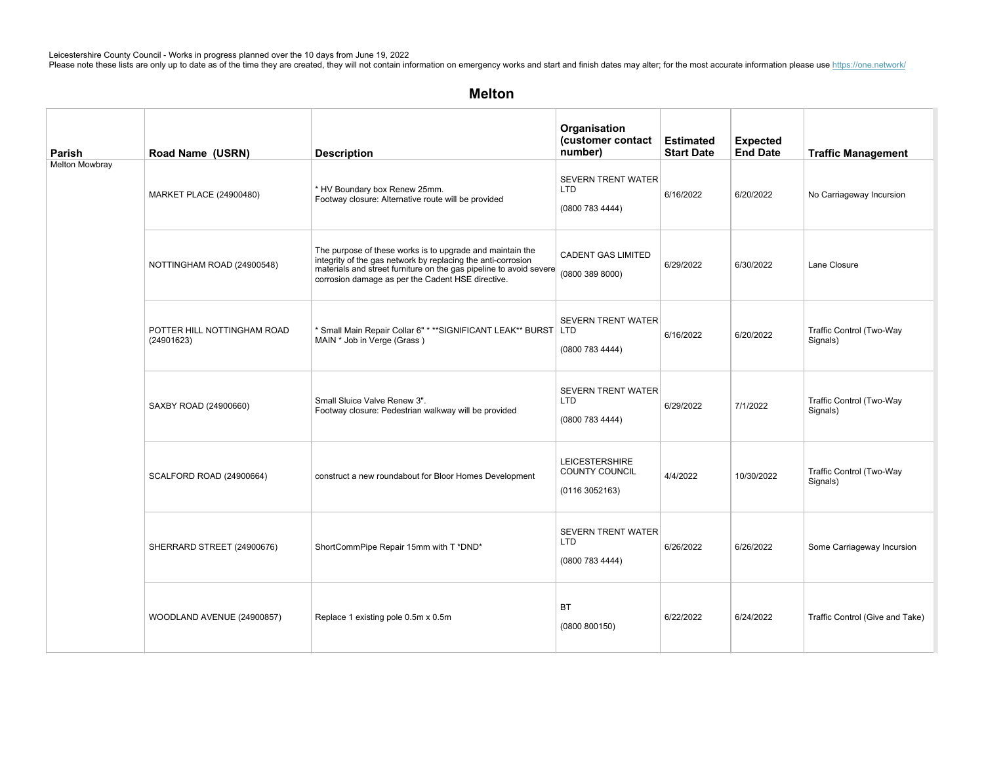| Parish                | Road Name (USRN)                          | <b>Description</b>                                                                                                                                                                                                                                   | Organisation<br>(customer contact<br>number)                     | <b>Estimated</b><br><b>Start Date</b> | <b>Expected</b><br><b>End Date</b> | <b>Traffic Management</b>            |
|-----------------------|-------------------------------------------|------------------------------------------------------------------------------------------------------------------------------------------------------------------------------------------------------------------------------------------------------|------------------------------------------------------------------|---------------------------------------|------------------------------------|--------------------------------------|
| <b>Melton Mowbray</b> | <b>MARKET PLACE (24900480)</b>            | * HV Boundary box Renew 25mm.<br>Footway closure: Alternative route will be provided                                                                                                                                                                 | <b>SEVERN TRENT WATER</b><br><b>LTD</b><br>(0800 783 4444)       | 6/16/2022                             | 6/20/2022                          | No Carriageway Incursion             |
|                       | NOTTINGHAM ROAD (24900548)                | The purpose of these works is to upgrade and maintain the<br>integrity of the gas network by replacing the anti-corrosion<br>materials and street furniture on the gas pipeline to avoid severe<br>corrosion damage as per the Cadent HSE directive. | <b>CADENT GAS LIMITED</b><br>(0800 389 8000)                     | 6/29/2022                             | 6/30/2022                          | Lane Closure                         |
|                       | POTTER HILL NOTTINGHAM ROAD<br>(24901623) | * Small Main Repair Collar 6" * ** SIGNIFICANT LEAK** BURST LTD<br>MAIN * Job in Verge (Grass)                                                                                                                                                       | <b>SEVERN TRENT WATER</b><br>(0800 783 4444)                     | 6/16/2022                             | 6/20/2022                          | Traffic Control (Two-Way<br>Signals) |
|                       | SAXBY ROAD (24900660)                     | Small Sluice Valve Renew 3".<br>Footway closure: Pedestrian walkway will be provided                                                                                                                                                                 | <b>SEVERN TRENT WATER</b><br><b>LTD</b><br>(0800 783 4444)       | 6/29/2022                             | 7/1/2022                           | Traffic Control (Two-Way<br>Signals) |
|                       | SCALFORD ROAD (24900664)                  | construct a new roundabout for Bloor Homes Development                                                                                                                                                                                               | <b>LEICESTERSHIRE</b><br><b>COUNTY COUNCIL</b><br>(0116 3052163) | 4/4/2022                              | 10/30/2022                         | Traffic Control (Two-Way<br>Signals) |
|                       | SHERRARD STREET (24900676)                | ShortCommPipe Repair 15mm with T *DND*                                                                                                                                                                                                               | <b>SEVERN TRENT WATER</b><br><b>LTD</b><br>(0800 783 4444)       | 6/26/2022                             | 6/26/2022                          | Some Carriageway Incursion           |
|                       | WOODLAND AVENUE (24900857)                | Replace 1 existing pole 0.5m x 0.5m                                                                                                                                                                                                                  | BT<br>(0800 800150)                                              | 6/22/2022                             | 6/24/2022                          | Traffic Control (Give and Take)      |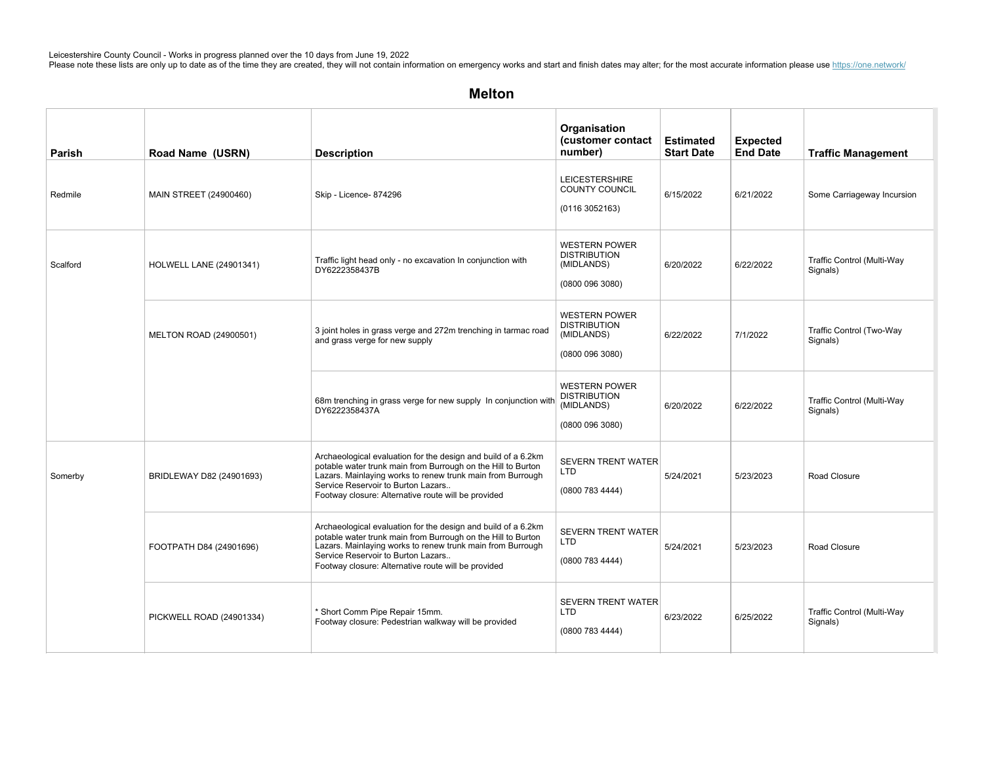| <b>Parish</b> | Road Name (USRN)               | <b>Description</b>                                                                                                                                                                                                                                                                       | Organisation<br>(customer contact<br>number)                                 | <b>Estimated</b><br><b>Start Date</b> | <b>Expected</b><br><b>End Date</b> | <b>Traffic Management</b>              |
|---------------|--------------------------------|------------------------------------------------------------------------------------------------------------------------------------------------------------------------------------------------------------------------------------------------------------------------------------------|------------------------------------------------------------------------------|---------------------------------------|------------------------------------|----------------------------------------|
| Redmile       | MAIN STREET (24900460)         | Skip - Licence- 874296                                                                                                                                                                                                                                                                   | <b>LEICESTERSHIRE</b><br>COUNTY COUNCIL<br>(0116 3052163)                    | 6/15/2022                             | 6/21/2022                          | Some Carriageway Incursion             |
| Scalford      | <b>HOLWELL LANE (24901341)</b> | Traffic light head only - no excavation In conjunction with<br>DY6222358437B                                                                                                                                                                                                             | <b>WESTERN POWER</b><br><b>DISTRIBUTION</b><br>(MIDLANDS)<br>(0800 096 3080) | 6/20/2022                             | 6/22/2022                          | Traffic Control (Multi-Way<br>Signals) |
|               | MELTON ROAD (24900501)         | 3 joint holes in grass verge and 272m trenching in tarmac road<br>and grass verge for new supply                                                                                                                                                                                         | <b>WESTERN POWER</b><br><b>DISTRIBUTION</b><br>(MIDLANDS)<br>(0800 096 3080) | 6/22/2022                             | 7/1/2022                           | Traffic Control (Two-Way<br>Signals)   |
|               |                                | 68m trenching in grass verge for new supply In conjunction with<br>DY6222358437A                                                                                                                                                                                                         | <b>WESTERN POWER</b><br><b>DISTRIBUTION</b><br>(MIDLANDS)<br>(0800 096 3080) | 6/20/2022                             | 6/22/2022                          | Traffic Control (Multi-Way<br>Signals) |
| Somerby       | BRIDLEWAY D82 (24901693)       | Archaeological evaluation for the design and build of a 6.2km<br>potable water trunk main from Burrough on the Hill to Burton<br>Lazars. Mainlaying works to renew trunk main from Burrough<br>Service Reservoir to Burton Lazars<br>Footway closure: Alternative route will be provided | <b>SEVERN TRENT WATER</b><br><b>LTD</b><br>(0800 783 4444)                   | 5/24/2021                             | 5/23/2023                          | Road Closure                           |
|               | FOOTPATH D84 (24901696)        | Archaeological evaluation for the design and build of a 6.2km<br>potable water trunk main from Burrough on the Hill to Burton<br>Lazars. Mainlaying works to renew trunk main from Burrough<br>Service Reservoir to Burton Lazars<br>Footway closure: Alternative route will be provided | <b>SEVERN TRENT WATER</b><br><b>LTD</b><br>(0800 783 4444)                   | 5/24/2021                             | 5/23/2023                          | Road Closure                           |
|               | PICKWELL ROAD (24901334)       | * Short Comm Pipe Repair 15mm.<br>Footway closure: Pedestrian walkway will be provided                                                                                                                                                                                                   | <b>SEVERN TRENT WATER</b><br>LTD<br>(0800 783 4444)                          | 6/23/2022                             | 6/25/2022                          | Traffic Control (Multi-Way<br>Signals) |